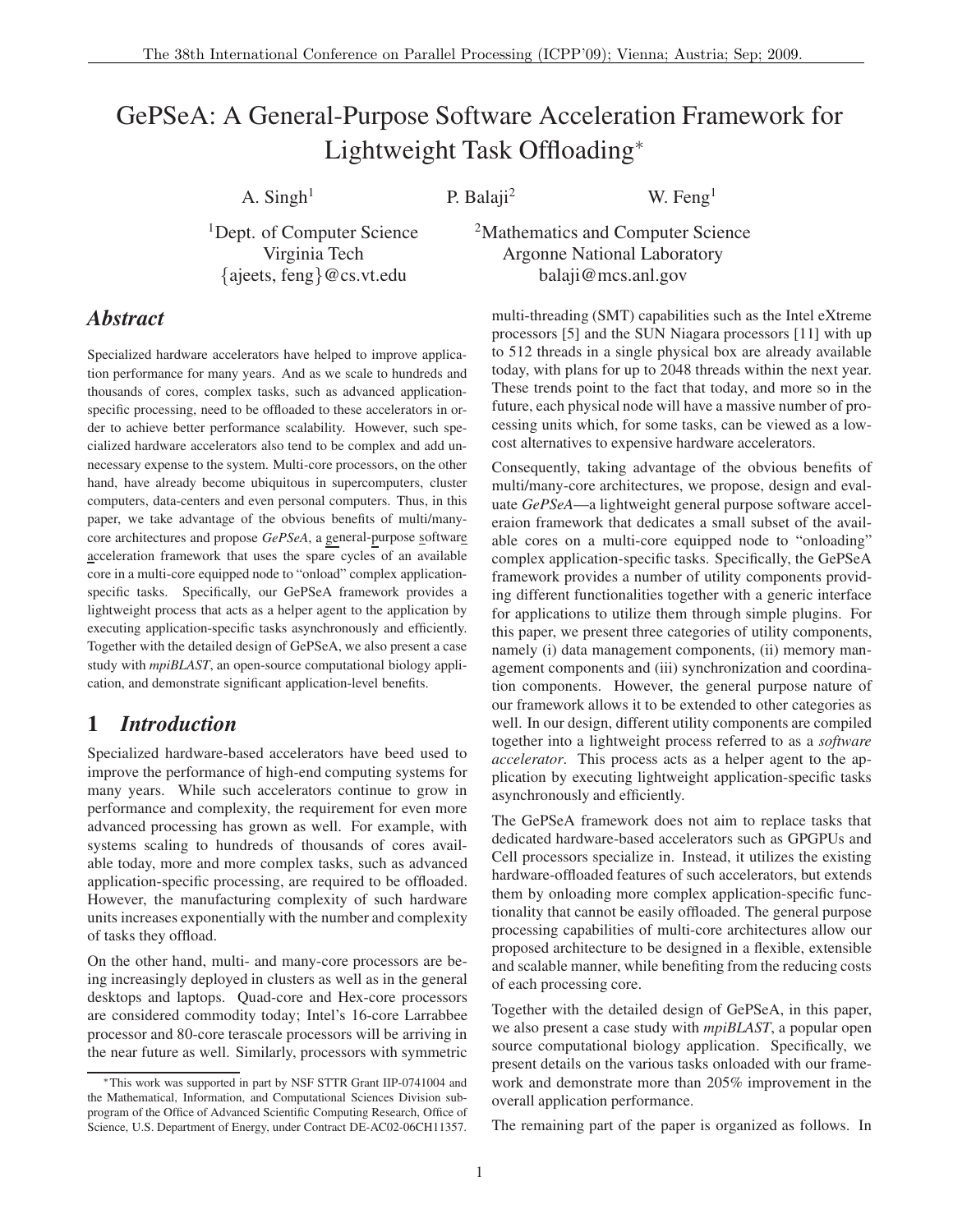# GePSeA: A General-Purpose Software Acceleration Framework for Lightweight Task Offloading<sup>∗</sup>

A. Singh<sup>1</sup> P. Balaji<sup>2</sup> W. Feng<sup>1</sup>

<sup>1</sup>Dept. of Computer Science Virginia Tech {ajeets, feng}@cs.vt.edu

<sup>2</sup>Mathematics and Computer Science Argonne National Laboratory balaji@mcs.anl.gov

## *Abstract*

Specialized hardware accelerators have helped to improve application performance for many years. And as we scale to hundreds and thousands of cores, complex tasks, such as advanced applicationspecific processing, need to be offloaded to these accelerators in order to achieve better performance scalability. However, such specialized hardware accelerators also tend to be complex and add unnecessary expense to the system. Multi-core processors, on the other hand, have already become ubiquitous in supercomputers, cluster computers, data-centers and even personal computers. Thus, in this paper, we take advantage of the obvious benefits of multi/manycore architectures and propose *GePSeA*, a general-purpose software acceleration framework that uses the spare cycles of an available core in a multi-core equipped node to "onload" complex applicationspecific tasks. Specifically, our GePSeA framework provides a lightweight process that acts as a helper agent to the application by executing application-specific tasks asynchronously and efficiently. Together with the detailed design of GePSeA, we also present a case study with *mpiBLAST*, an open-source computational biology application, and demonstrate significant application-level benefits.

## **1** *Introduction*

Specialized hardware-based accelerators have beed used to improve the performance of high-end computing systems for many years. While such accelerators continue to grow in performance and complexity, the requirement for even more advanced processing has grown as well. For example, with systems scaling to hundreds of thousands of cores available today, more and more complex tasks, such as advanced application-specific processing, are required to be offloaded. However, the manufacturing complexity of such hardware units increases exponentially with the number and complexity of tasks they offload.

On the other hand, multi- and many-core processors are being increasingly deployed in clusters as well as in the general desktops and laptops. Quad-core and Hex-core processors are considered commodity today; Intel's 16-core Larrabbee processor and 80-core terascale processors will be arriving in the near future as well. Similarly, processors with symmetric

multi-threading (SMT) capabilities such as the Intel eXtreme processors [5] and the SUN Niagara processors [11] with up to 512 threads in a single physical box are already available today, with plans for up to 2048 threads within the next year. These trends point to the fact that today, and more so in the future, each physical node will have a massive number of processing units which, for some tasks, can be viewed as a lowcost alternatives to expensive hardware accelerators.

Consequently, taking advantage of the obvious benefits of multi/many-core architectures, we propose, design and evaluate *GePSeA*—a lightweight general purpose software acceleraion framework that dedicates a small subset of the available cores on a multi-core equipped node to "onloading" complex application-specific tasks. Specifically, the GePSeA framework provides a number of utility components providing different functionalities together with a generic interface for applications to utilize them through simple plugins. For this paper, we present three categories of utility components, namely (i) data management components, (ii) memory management components and (iii) synchronization and coordination components. However, the general purpose nature of our framework allows it to be extended to other categories as well. In our design, different utility components are compiled together into a lightweight process referred to as a *software accelerator*. This process acts as a helper agent to the application by executing lightweight application-specific tasks asynchronously and efficiently.

The GePSeA framework does not aim to replace tasks that dedicated hardware-based accelerators such as GPGPUs and Cell processors specialize in. Instead, it utilizes the existing hardware-offloaded features of such accelerators, but extends them by onloading more complex application-specific functionality that cannot be easily offloaded. The general purpose processing capabilities of multi-core architectures allow our proposed architecture to be designed in a flexible, extensible and scalable manner, while benefiting from the reducing costs of each processing core.

Together with the detailed design of GePSeA, in this paper, we also present a case study with *mpiBLAST*, a popular open source computational biology application. Specifically, we present details on the various tasks onloaded with our framework and demonstrate more than 205% improvement in the overall application performance.

The remaining part of the paper is organized as follows. In

<sup>∗</sup>This work was supported in part by NSF STTR Grant IIP-0741004 and the Mathematical, Information, and Computational Sciences Division subprogram of the Office of Advanced Scientific Computing Research, Office of Science, U.S. Department of Energy, under Contract DE-AC02-06CH11357.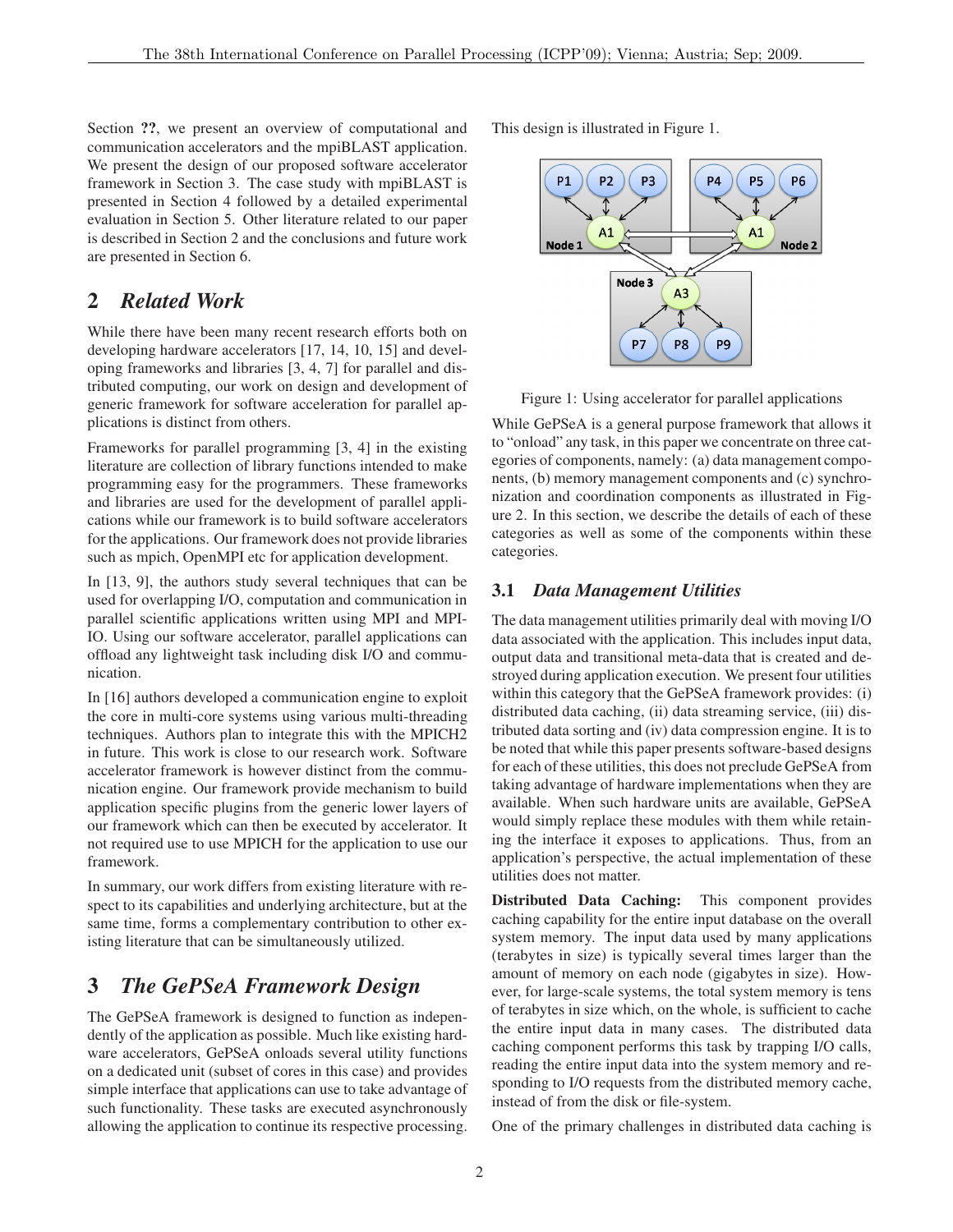Section **??**, we present an overview of computational and communication accelerators and the mpiBLAST application. We present the design of our proposed software accelerator framework in Section 3. The case study with mpiBLAST is presented in Section 4 followed by a detailed experimental evaluation in Section 5. Other literature related to our paper is described in Section 2 and the conclusions and future work are presented in Section 6.

## **2** *Related Work*

While there have been many recent research efforts both on developing hardware accelerators [17, 14, 10, 15] and developing frameworks and libraries [3, 4, 7] for parallel and distributed computing, our work on design and development of generic framework for software acceleration for parallel applications is distinct from others.

Frameworks for parallel programming [3, 4] in the existing literature are collection of library functions intended to make programming easy for the programmers. These frameworks and libraries are used for the development of parallel applications while our framework is to build software accelerators for the applications. Our framework does not provide libraries such as mpich, OpenMPI etc for application development.

In [13, 9], the authors study several techniques that can be used for overlapping I/O, computation and communication in parallel scientific applications written using MPI and MPI-IO. Using our software accelerator, parallel applications can offload any lightweight task including disk I/O and communication.

In [16] authors developed a communication engine to exploit the core in multi-core systems using various multi-threading techniques. Authors plan to integrate this with the MPICH2 in future. This work is close to our research work. Software accelerator framework is however distinct from the communication engine. Our framework provide mechanism to build application specific plugins from the generic lower layers of our framework which can then be executed by accelerator. It not required use to use MPICH for the application to use our framework.

In summary, our work differs from existing literature with respect to its capabilities and underlying architecture, but at the same time, forms a complementary contribution to other existing literature that can be simultaneously utilized.

## **3** *The GePSeA Framework Design*

The GePSeA framework is designed to function as independently of the application as possible. Much like existing hardware accelerators, GePSeA onloads several utility functions on a dedicated unit (subset of cores in this case) and provides simple interface that applications can use to take advantage of such functionality. These tasks are executed asynchronously allowing the application to continue its respective processing.

This design is illustrated in Figure 1.



Figure 1: Using accelerator for parallel applications

While GePSeA is a general purpose framework that allows it to "onload" any task, in this paper we concentrate on three categories of components, namely: (a) data management components, (b) memory management components and (c) synchronization and coordination components as illustrated in Figure 2. In this section, we describe the details of each of these categories as well as some of the components within these categories.

#### **3.1** *Data Management Utilities*

The data management utilities primarily deal with moving I/O data associated with the application. This includes input data, output data and transitional meta-data that is created and destroyed during application execution. We present four utilities within this category that the GePSeA framework provides: (i) distributed data caching, (ii) data streaming service, (iii) distributed data sorting and (iv) data compression engine. It is to be noted that while this paper presents software-based designs for each of these utilities, this does not preclude GePSeA from taking advantage of hardware implementations when they are available. When such hardware units are available, GePSeA would simply replace these modules with them while retaining the interface it exposes to applications. Thus, from an application's perspective, the actual implementation of these utilities does not matter.

**Distributed Data Caching:** This component provides caching capability for the entire input database on the overall system memory. The input data used by many applications (terabytes in size) is typically several times larger than the amount of memory on each node (gigabytes in size). However, for large-scale systems, the total system memory is tens of terabytes in size which, on the whole, is sufficient to cache the entire input data in many cases. The distributed data caching component performs this task by trapping I/O calls, reading the entire input data into the system memory and responding to I/O requests from the distributed memory cache, instead of from the disk or file-system.

One of the primary challenges in distributed data caching is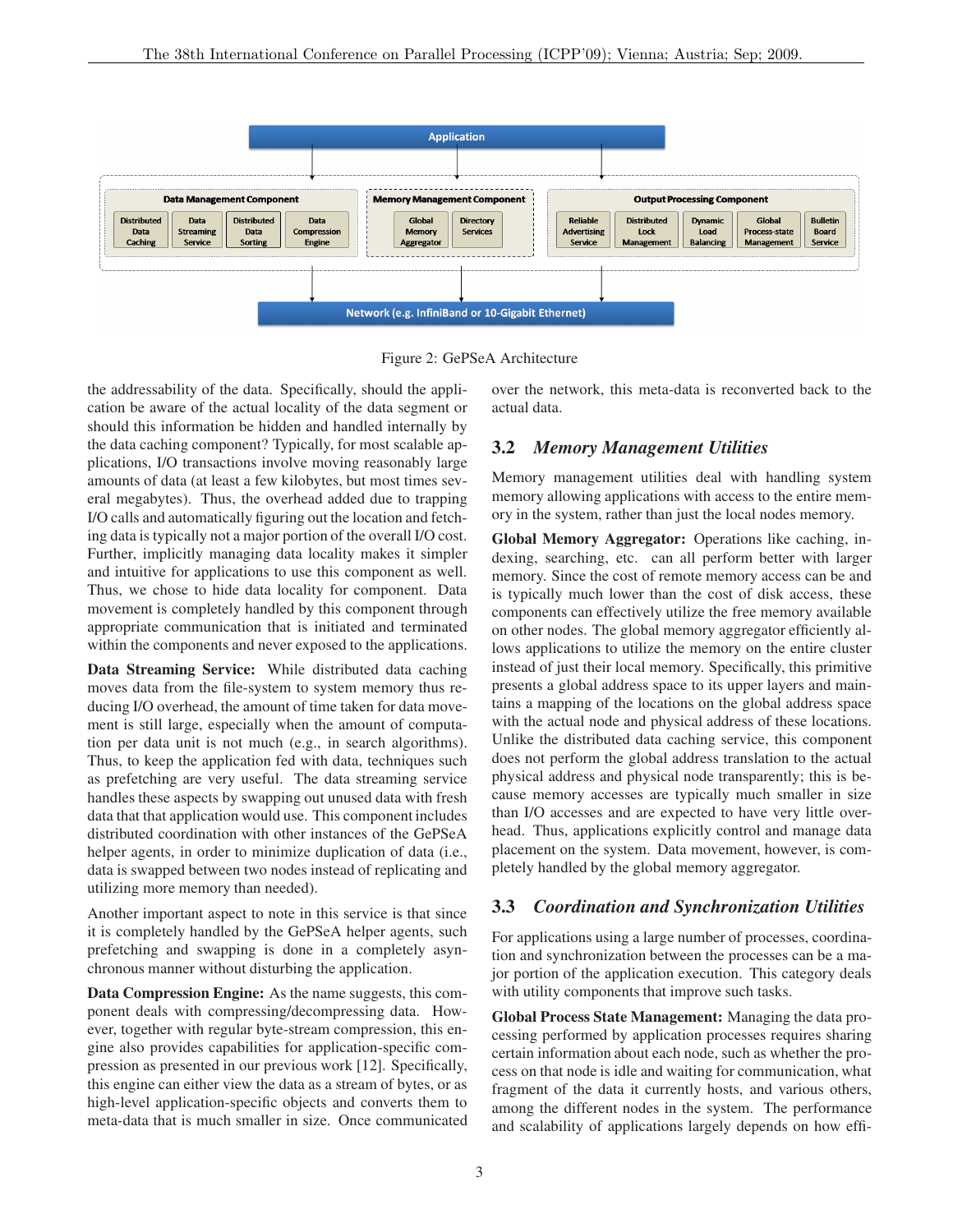

Figure 2: GePSeA Architecture

the addressability of the data. Specifically, should the application be aware of the actual locality of the data segment or should this information be hidden and handled internally by the data caching component? Typically, for most scalable applications, I/O transactions involve moving reasonably large amounts of data (at least a few kilobytes, but most times several megabytes). Thus, the overhead added due to trapping I/O calls and automatically figuring out the location and fetching data is typically not a major portion of the overall I/O cost. Further, implicitly managing data locality makes it simpler and intuitive for applications to use this component as well. Thus, we chose to hide data locality for component. Data movement is completely handled by this component through appropriate communication that is initiated and terminated within the components and never exposed to the applications.

**Data Streaming Service:** While distributed data caching moves data from the file-system to system memory thus reducing I/O overhead, the amount of time taken for data movement is still large, especially when the amount of computation per data unit is not much (e.g., in search algorithms). Thus, to keep the application fed with data, techniques such as prefetching are very useful. The data streaming service handles these aspects by swapping out unused data with fresh data that that application would use. This component includes distributed coordination with other instances of the GePSeA helper agents, in order to minimize duplication of data (i.e., data is swapped between two nodes instead of replicating and utilizing more memory than needed).

Another important aspect to note in this service is that since it is completely handled by the GePSeA helper agents, such prefetching and swapping is done in a completely asynchronous manner without disturbing the application.

**Data Compression Engine:** As the name suggests, this component deals with compressing/decompressing data. However, together with regular byte-stream compression, this engine also provides capabilities for application-specific compression as presented in our previous work [12]. Specifically, this engine can either view the data as a stream of bytes, or as high-level application-specific objects and converts them to meta-data that is much smaller in size. Once communicated over the network, this meta-data is reconverted back to the actual data.

### **3.2** *Memory Management Utilities*

Memory management utilities deal with handling system memory allowing applications with access to the entire memory in the system, rather than just the local nodes memory.

**Global Memory Aggregator:** Operations like caching, indexing, searching, etc. can all perform better with larger memory. Since the cost of remote memory access can be and is typically much lower than the cost of disk access, these components can effectively utilize the free memory available on other nodes. The global memory aggregator efficiently allows applications to utilize the memory on the entire cluster instead of just their local memory. Specifically, this primitive presents a global address space to its upper layers and maintains a mapping of the locations on the global address space with the actual node and physical address of these locations. Unlike the distributed data caching service, this component does not perform the global address translation to the actual physical address and physical node transparently; this is because memory accesses are typically much smaller in size than I/O accesses and are expected to have very little overhead. Thus, applications explicitly control and manage data placement on the system. Data movement, however, is completely handled by the global memory aggregator.

## **3.3** *Coordination and Synchronization Utilities*

For applications using a large number of processes, coordination and synchronization between the processes can be a major portion of the application execution. This category deals with utility components that improve such tasks.

**Global Process State Management:** Managing the data processing performed by application processes requires sharing certain information about each node, such as whether the process on that node is idle and waiting for communication, what fragment of the data it currently hosts, and various others, among the different nodes in the system. The performance and scalability of applications largely depends on how effi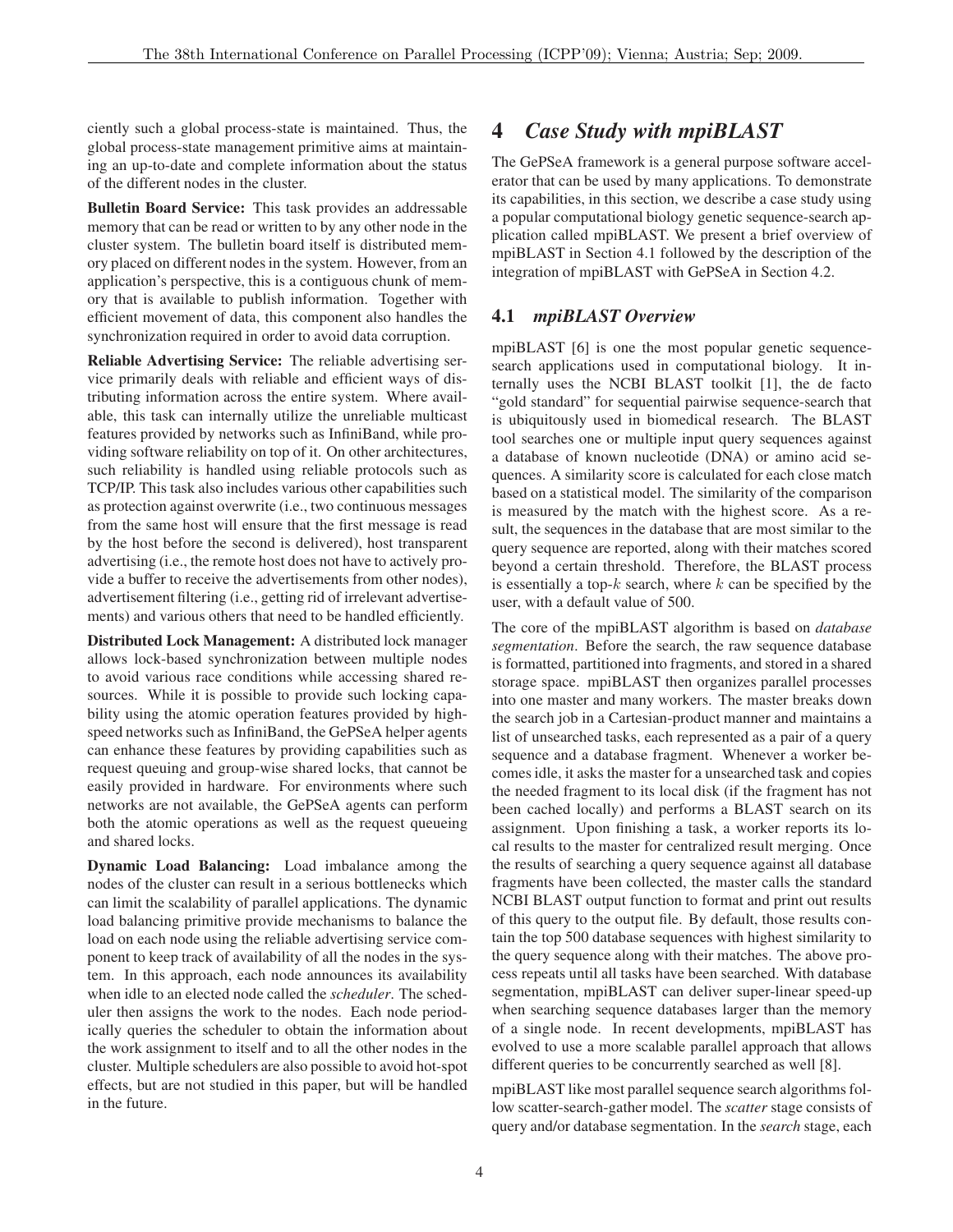ciently such a global process-state is maintained. Thus, the global process-state management primitive aims at maintaining an up-to-date and complete information about the status of the different nodes in the cluster.

**Bulletin Board Service:** This task provides an addressable memory that can be read or written to by any other node in the cluster system. The bulletin board itself is distributed memory placed on different nodes in the system. However, from an application's perspective, this is a contiguous chunk of memory that is available to publish information. Together with efficient movement of data, this component also handles the synchronization required in order to avoid data corruption.

**Reliable Advertising Service:** The reliable advertising service primarily deals with reliable and efficient ways of distributing information across the entire system. Where available, this task can internally utilize the unreliable multicast features provided by networks such as InfiniBand, while providing software reliability on top of it. On other architectures, such reliability is handled using reliable protocols such as TCP/IP. This task also includes various other capabilities such as protection against overwrite (i.e., two continuous messages from the same host will ensure that the first message is read by the host before the second is delivered), host transparent advertising (i.e., the remote host does not have to actively provide a buffer to receive the advertisements from other nodes), advertisement filtering (i.e., getting rid of irrelevant advertisements) and various others that need to be handled efficiently.

**Distributed Lock Management:** A distributed lock manager allows lock-based synchronization between multiple nodes to avoid various race conditions while accessing shared resources. While it is possible to provide such locking capability using the atomic operation features provided by highspeed networks such as InfiniBand, the GePSeA helper agents can enhance these features by providing capabilities such as request queuing and group-wise shared locks, that cannot be easily provided in hardware. For environments where such networks are not available, the GePSeA agents can perform both the atomic operations as well as the request queueing and shared locks.

**Dynamic Load Balancing:** Load imbalance among the nodes of the cluster can result in a serious bottlenecks which can limit the scalability of parallel applications. The dynamic load balancing primitive provide mechanisms to balance the load on each node using the reliable advertising service component to keep track of availability of all the nodes in the system. In this approach, each node announces its availability when idle to an elected node called the *scheduler*. The scheduler then assigns the work to the nodes. Each node periodically queries the scheduler to obtain the information about the work assignment to itself and to all the other nodes in the cluster. Multiple schedulers are also possible to avoid hot-spot effects, but are not studied in this paper, but will be handled in the future.

## **4** *Case Study with mpiBLAST*

The GePSeA framework is a general purpose software accelerator that can be used by many applications. To demonstrate its capabilities, in this section, we describe a case study using a popular computational biology genetic sequence-search application called mpiBLAST. We present a brief overview of mpiBLAST in Section 4.1 followed by the description of the integration of mpiBLAST with GePSeA in Section 4.2.

### **4.1** *mpiBLAST Overview*

mpiBLAST [6] is one the most popular genetic sequencesearch applications used in computational biology. It internally uses the NCBI BLAST toolkit [1], the de facto "gold standard" for sequential pairwise sequence-search that is ubiquitously used in biomedical research. The BLAST tool searches one or multiple input query sequences against a database of known nucleotide (DNA) or amino acid sequences. A similarity score is calculated for each close match based on a statistical model. The similarity of the comparison is measured by the match with the highest score. As a result, the sequences in the database that are most similar to the query sequence are reported, along with their matches scored beyond a certain threshold. Therefore, the BLAST process is essentially a top- $k$  search, where  $k$  can be specified by the user, with a default value of 500.

The core of the mpiBLAST algorithm is based on *database segmentation*. Before the search, the raw sequence database is formatted, partitioned into fragments, and stored in a shared storage space. mpiBLAST then organizes parallel processes into one master and many workers. The master breaks down the search job in a Cartesian-product manner and maintains a list of unsearched tasks, each represented as a pair of a query sequence and a database fragment. Whenever a worker becomes idle, it asks the master for a unsearched task and copies the needed fragment to its local disk (if the fragment has not been cached locally) and performs a BLAST search on its assignment. Upon finishing a task, a worker reports its local results to the master for centralized result merging. Once the results of searching a query sequence against all database fragments have been collected, the master calls the standard NCBI BLAST output function to format and print out results of this query to the output file. By default, those results contain the top 500 database sequences with highest similarity to the query sequence along with their matches. The above process repeats until all tasks have been searched. With database segmentation, mpiBLAST can deliver super-linear speed-up when searching sequence databases larger than the memory of a single node. In recent developments, mpiBLAST has evolved to use a more scalable parallel approach that allows different queries to be concurrently searched as well [8].

mpiBLAST like most parallel sequence search algorithms follow scatter-search-gather model. The *scatter* stage consists of query and/or database segmentation. In the *search* stage, each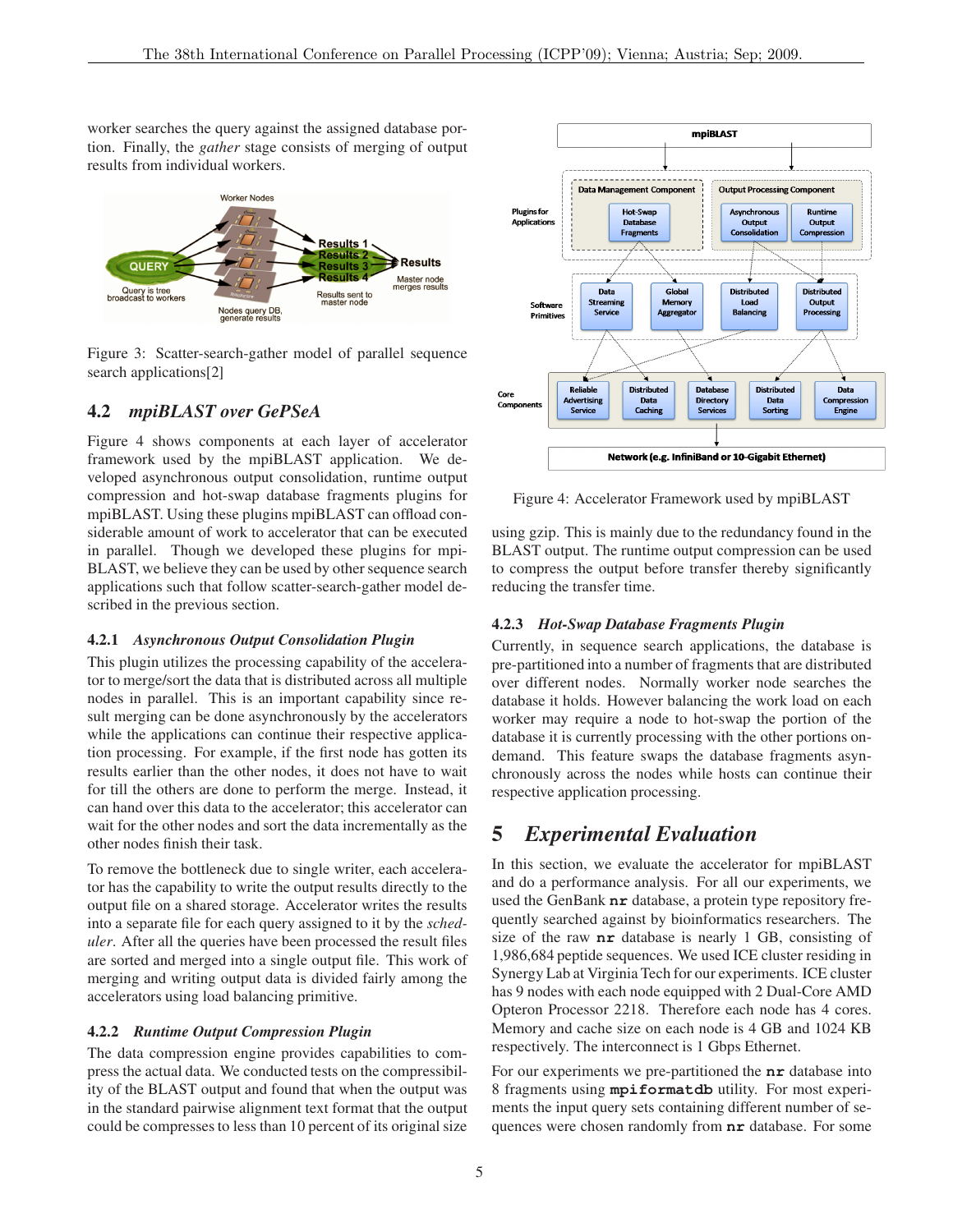worker searches the query against the assigned database portion. Finally, the *gather* stage consists of merging of output results from individual workers.



Figure 3: Scatter-search-gather model of parallel sequence search applications[2]

## **4.2** *mpiBLAST over GePSeA*

Figure 4 shows components at each layer of accelerator framework used by the mpiBLAST application. We developed asynchronous output consolidation, runtime output compression and hot-swap database fragments plugins for mpiBLAST. Using these plugins mpiBLAST can offload considerable amount of work to accelerator that can be executed in parallel. Though we developed these plugins for mpi-BLAST, we believe they can be used by other sequence search applications such that follow scatter-search-gather model described in the previous section.

#### **4.2.1** *Asynchronous Output Consolidation Plugin*

This plugin utilizes the processing capability of the accelerator to merge/sort the data that is distributed across all multiple nodes in parallel. This is an important capability since result merging can be done asynchronously by the accelerators while the applications can continue their respective application processing. For example, if the first node has gotten its results earlier than the other nodes, it does not have to wait for till the others are done to perform the merge. Instead, it can hand over this data to the accelerator; this accelerator can wait for the other nodes and sort the data incrementally as the other nodes finish their task.

To remove the bottleneck due to single writer, each accelerator has the capability to write the output results directly to the output file on a shared storage. Accelerator writes the results into a separate file for each query assigned to it by the *scheduler*. After all the queries have been processed the result files are sorted and merged into a single output file. This work of merging and writing output data is divided fairly among the accelerators using load balancing primitive.

#### **4.2.2** *Runtime Output Compression Plugin*

The data compression engine provides capabilities to compress the actual data. We conducted tests on the compressibility of the BLAST output and found that when the output was in the standard pairwise alignment text format that the output could be compresses to less than 10 percent of its original size



Figure 4: Accelerator Framework used by mpiBLAST

using gzip. This is mainly due to the redundancy found in the BLAST output. The runtime output compression can be used to compress the output before transfer thereby significantly reducing the transfer time.

#### **4.2.3** *Hot-Swap Database Fragments Plugin*

Currently, in sequence search applications, the database is pre-partitioned into a number of fragments that are distributed over different nodes. Normally worker node searches the database it holds. However balancing the work load on each worker may require a node to hot-swap the portion of the database it is currently processing with the other portions ondemand. This feature swaps the database fragments asynchronously across the nodes while hosts can continue their respective application processing.

## **5** *Experimental Evaluation*

In this section, we evaluate the accelerator for mpiBLAST and do a performance analysis. For all our experiments, we used the GenBank **nr** database, a protein type repository frequently searched against by bioinformatics researchers. The size of the raw **nr** database is nearly 1 GB, consisting of 1,986,684 peptide sequences. We used ICE cluster residing in Synergy Lab at Virginia Tech for our experiments. ICE cluster has 9 nodes with each node equipped with 2 Dual-Core AMD Opteron Processor 2218. Therefore each node has 4 cores. Memory and cache size on each node is 4 GB and 1024 KB respectively. The interconnect is 1 Gbps Ethernet.

For our experiments we pre-partitioned the **nr** database into 8 fragments using **mpiformatdb** utility. For most experiments the input query sets containing different number of sequences were chosen randomly from **nr** database. For some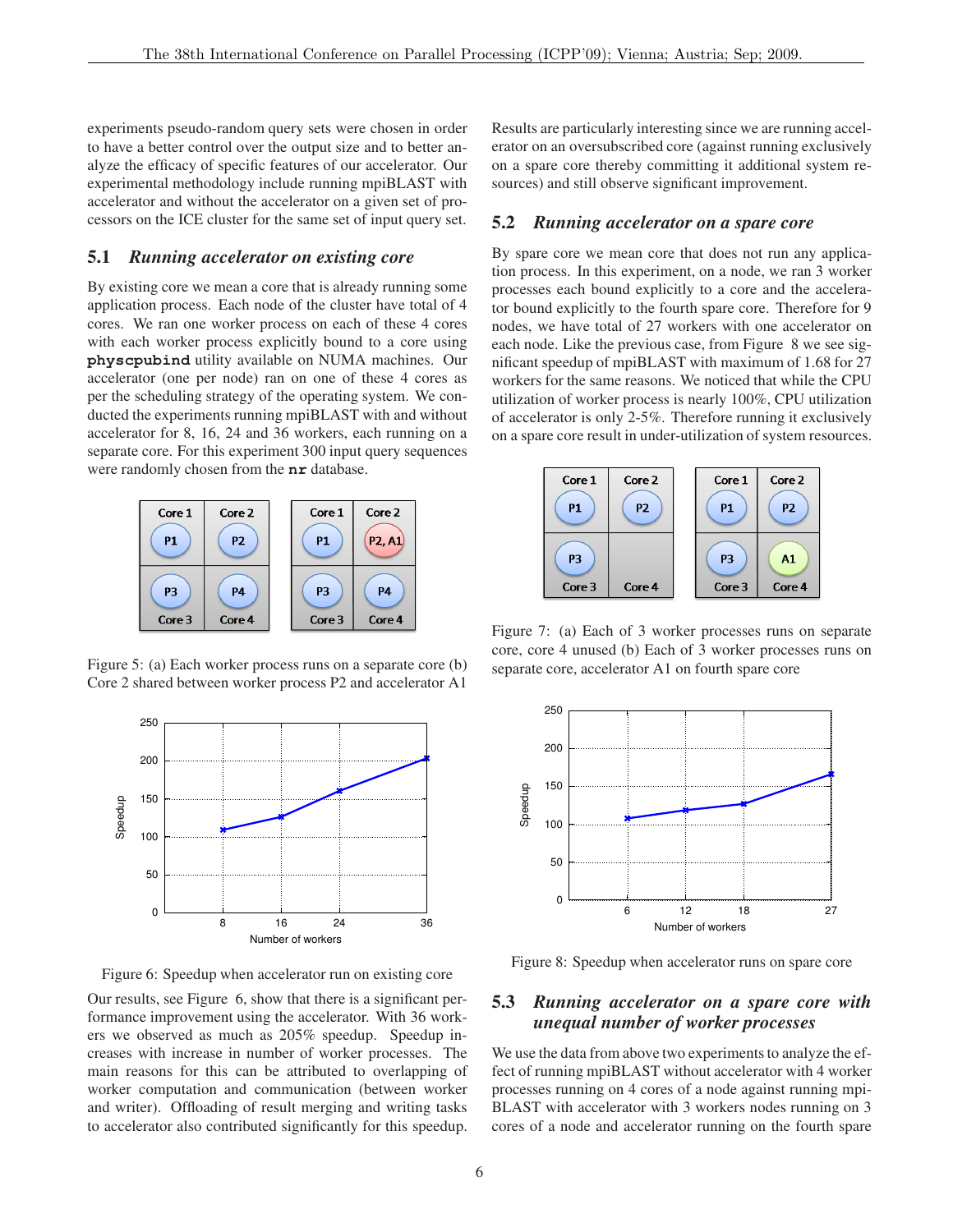experiments pseudo-random query sets were chosen in order to have a better control over the output size and to better analyze the efficacy of specific features of our accelerator. Our experimental methodology include running mpiBLAST with accelerator and without the accelerator on a given set of processors on the ICE cluster for the same set of input query set.

#### **5.1** *Running accelerator on existing core*

By existing core we mean a core that is already running some application process. Each node of the cluster have total of 4 cores. We ran one worker process on each of these 4 cores with each worker process explicitly bound to a core using **physcpubind** utility available on NUMA machines. Our accelerator (one per node) ran on one of these 4 cores as per the scheduling strategy of the operating system. We conducted the experiments running mpiBLAST with and without accelerator for 8, 16, 24 and 36 workers, each running on a separate core. For this experiment 300 input query sequences were randomly chosen from the **nr** database.



Figure 5: (a) Each worker process runs on a separate core (b) Core 2 shared between worker process P2 and accelerator A1



Figure 6: Speedup when accelerator run on existing core

Our results, see Figure 6, show that there is a significant performance improvement using the accelerator. With 36 workers we observed as much as 205% speedup. Speedup increases with increase in number of worker processes. The main reasons for this can be attributed to overlapping of worker computation and communication (between worker and writer). Offloading of result merging and writing tasks to accelerator also contributed significantly for this speedup.

Results are particularly interesting since we are running accelerator on an oversubscribed core (against running exclusively on a spare core thereby committing it additional system resources) and still observe significant improvement.

#### **5.2** *Running accelerator on a spare core*

By spare core we mean core that does not run any application process. In this experiment, on a node, we ran 3 worker processes each bound explicitly to a core and the accelerator bound explicitly to the fourth spare core. Therefore for 9 nodes, we have total of 27 workers with one accelerator on each node. Like the previous case, from Figure 8 we see significant speedup of mpiBLAST with maximum of 1.68 for 27 workers for the same reasons. We noticed that while the CPU utilization of worker process is nearly 100%, CPU utilization of accelerator is only 2-5%. Therefore running it exclusively on a spare core result in under-utilization of system resources.



Figure 7: (a) Each of 3 worker processes runs on separate core, core 4 unused (b) Each of 3 worker processes runs on separate core, accelerator A1 on fourth spare core



Figure 8: Speedup when accelerator runs on spare core

#### **5.3** *Running accelerator on a spare core with unequal number of worker processes*

We use the data from above two experiments to analyze the effect of running mpiBLAST without accelerator with 4 worker processes running on 4 cores of a node against running mpi-BLAST with accelerator with 3 workers nodes running on 3 cores of a node and accelerator running on the fourth spare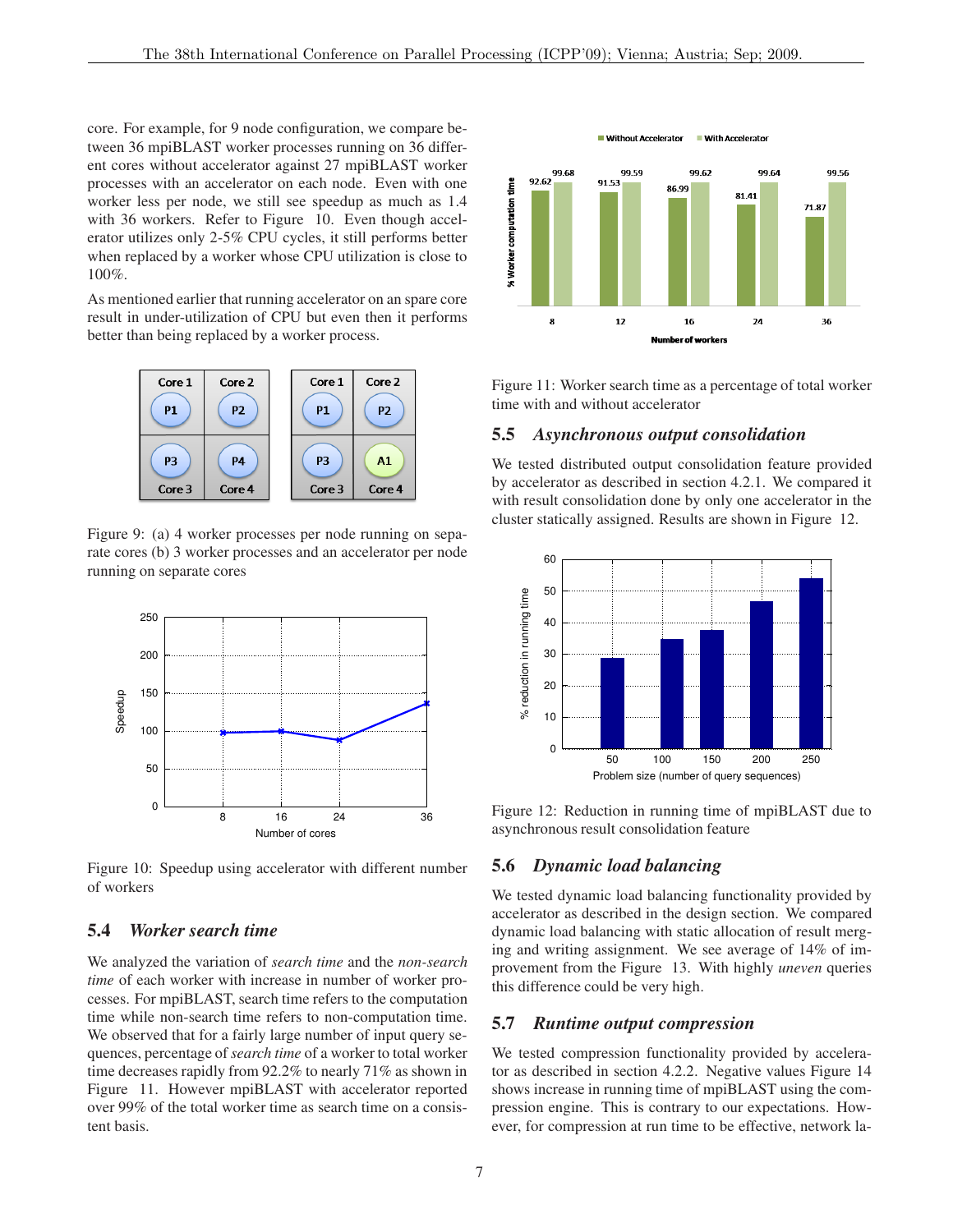core. For example, for 9 node configuration, we compare between 36 mpiBLAST worker processes running on 36 different cores without accelerator against 27 mpiBLAST worker processes with an accelerator on each node. Even with one worker less per node, we still see speedup as much as 1.4 with 36 workers. Refer to Figure 10. Even though accelerator utilizes only 2-5% CPU cycles, it still performs better when replaced by a worker whose CPU utilization is close to 100%.

As mentioned earlier that running accelerator on an spare core result in under-utilization of CPU but even then it performs better than being replaced by a worker process.



Figure 9: (a) 4 worker processes per node running on separate cores (b) 3 worker processes and an accelerator per node running on separate cores



Figure 10: Speedup using accelerator with different number of workers

#### **5.4** *Worker search time*

We analyzed the variation of *search time* and the *non-search time* of each worker with increase in number of worker processes. For mpiBLAST, search time refers to the computation time while non-search time refers to non-computation time. We observed that for a fairly large number of input query sequences, percentage of *search time* of a worker to total worker time decreases rapidly from 92.2% to nearly 71% as shown in Figure 11. However mpiBLAST with accelerator reported over 99% of the total worker time as search time on a consistent basis.

99.64 99.56 99.68 99.59 99.62 92.62 91.53 % Worker computation time 86 99 81.41 71.87 8  $12$ 16 24 36 **Number of workers** 

**With Accelerator** 

Without Accelerator

Figure 11: Worker search time as a percentage of total worker time with and without accelerator

#### **5.5** *Asynchronous output consolidation*

We tested distributed output consolidation feature provided by accelerator as described in section 4.2.1. We compared it with result consolidation done by only one accelerator in the cluster statically assigned. Results are shown in Figure 12.



Figure 12: Reduction in running time of mpiBLAST due to asynchronous result consolidation feature

#### **5.6** *Dynamic load balancing*

We tested dynamic load balancing functionality provided by accelerator as described in the design section. We compared dynamic load balancing with static allocation of result merging and writing assignment. We see average of 14% of improvement from the Figure 13. With highly *uneven* queries this difference could be very high.

#### **5.7** *Runtime output compression*

We tested compression functionality provided by accelerator as described in section 4.2.2. Negative values Figure 14 shows increase in running time of mpiBLAST using the compression engine. This is contrary to our expectations. However, for compression at run time to be effective, network la-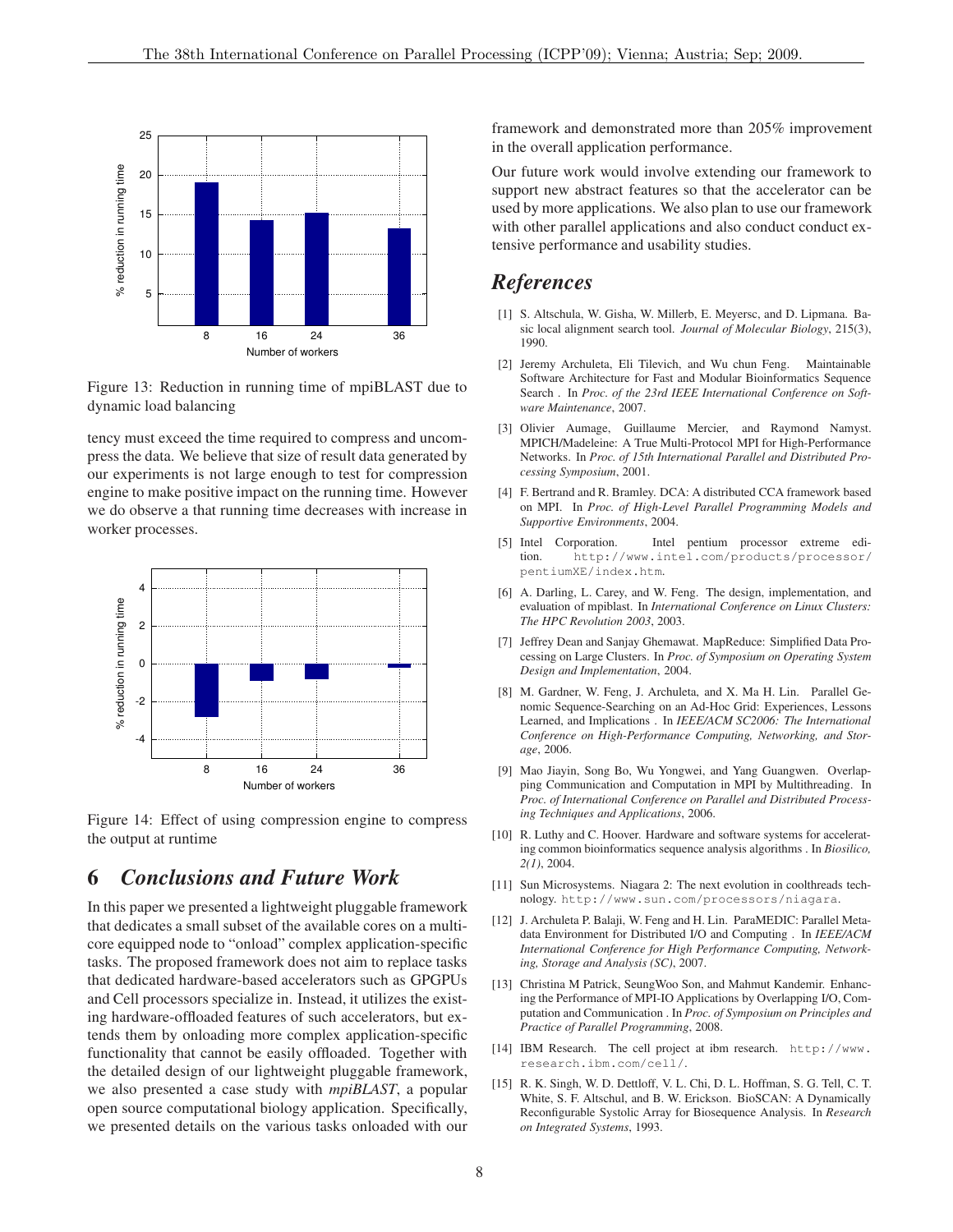

Figure 13: Reduction in running time of mpiBLAST due to dynamic load balancing

tency must exceed the time required to compress and uncompress the data. We believe that size of result data generated by our experiments is not large enough to test for compression engine to make positive impact on the running time. However we do observe a that running time decreases with increase in worker processes.



Figure 14: Effect of using compression engine to compress the output at runtime

## **6** *Conclusions and Future Work*

In this paper we presented a lightweight pluggable framework that dedicates a small subset of the available cores on a multicore equipped node to "onload" complex application-specific tasks. The proposed framework does not aim to replace tasks that dedicated hardware-based accelerators such as GPGPUs and Cell processors specialize in. Instead, it utilizes the existing hardware-offloaded features of such accelerators, but extends them by onloading more complex application-specific functionality that cannot be easily offloaded. Together with the detailed design of our lightweight pluggable framework, we also presented a case study with *mpiBLAST*, a popular open source computational biology application. Specifically, we presented details on the various tasks onloaded with our framework and demonstrated more than 205% improvement in the overall application performance.

Our future work would involve extending our framework to support new abstract features so that the accelerator can be used by more applications. We also plan to use our framework with other parallel applications and also conduct conduct extensive performance and usability studies.

## *References*

- [1] S. Altschula, W. Gisha, W. Millerb, E. Meyersc, and D. Lipmana. Basic local alignment search tool. *Journal of Molecular Biology*, 215(3), 1990.
- [2] Jeremy Archuleta, Eli Tilevich, and Wu chun Feng. Maintainable Software Architecture for Fast and Modular Bioinformatics Sequence Search . In *Proc. of the 23rd IEEE International Conference on Software Maintenance*, 2007.
- [3] Olivier Aumage, Guillaume Mercier, and Raymond Namyst. MPICH/Madeleine: A True Multi-Protocol MPI for High-Performance Networks. In *Proc. of 15th International Parallel and Distributed Processing Symposium*, 2001.
- [4] F. Bertrand and R. Bramley. DCA: A distributed CCA framework based on MPI. In *Proc. of High-Level Parallel Programming Models and Supportive Environments*, 2004.
- [5] Intel Corporation. Intel pentium processor extreme edition. http://www.intel.com/products/processor/ pentiumXE/index.htm.
- [6] A. Darling, L. Carey, and W. Feng. The design, implementation, and evaluation of mpiblast. In *International Conference on Linux Clusters: The HPC Revolution 2003*, 2003.
- [7] Jeffrey Dean and Sanjay Ghemawat. MapReduce: Simplified Data Processing on Large Clusters. In *Proc. of Symposium on Operating System Design and Implementation*, 2004.
- [8] M. Gardner, W. Feng, J. Archuleta, and X. Ma H. Lin. Parallel Genomic Sequence-Searching on an Ad-Hoc Grid: Experiences, Lessons Learned, and Implications . In *IEEE/ACM SC2006: The International Conference on High-Performance Computing, Networking, and Storage*, 2006.
- [9] Mao Jiayin, Song Bo, Wu Yongwei, and Yang Guangwen. Overlapping Communication and Computation in MPI by Multithreading. In *Proc. of International Conference on Parallel and Distributed Processing Techniques and Applications*, 2006.
- [10] R. Luthy and C. Hoover. Hardware and software systems for accelerating common bioinformatics sequence analysis algorithms . In *Biosilico, 2(1)*, 2004.
- [11] Sun Microsystems. Niagara 2: The next evolution in coolthreads technology. http://www.sun.com/processors/niagara.
- [12] J. Archuleta P. Balaji, W. Feng and H. Lin. ParaMEDIC: Parallel Metadata Environment for Distributed I/O and Computing . In *IEEE/ACM International Conference for High Performance Computing, Networking, Storage and Analysis (SC)*, 2007.
- [13] Christina M Patrick, SeungWoo Son, and Mahmut Kandemir. Enhancing the Performance of MPI-IO Applications by Overlapping I/O, Computation and Communication . In *Proc. of Symposium on Principles and Practice of Parallel Programming*, 2008.
- [14] IBM Research. The cell project at ibm research. http://www. research.ibm.com/cell/.
- [15] R. K. Singh, W. D. Dettloff, V. L. Chi, D. L. Hoffman, S. G. Tell, C. T. White, S. F. Altschul, and B. W. Erickson. BioSCAN: A Dynamically Reconfigurable Systolic Array for Biosequence Analysis. In *Research on Integrated Systems*, 1993.